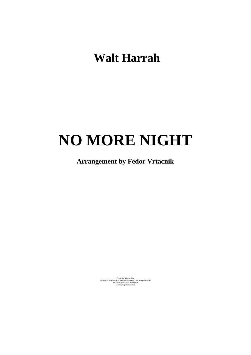**Walt Harrah** 

## **NO MORE NIGHT**

## **Arrangement by Fedor Vrtacnik**

Copyright protected by<br>
Berkleemusic&American society of composers and arrangers ©2007<br>
For permission contact arranger on<br>
fedormusic@hotmail.com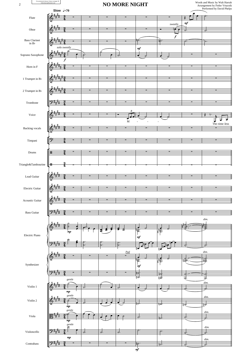| $\overline{c}$                               | $\label{eq:2} \begin{minipage}{0.9\linewidth} For permission please contact arange onfedormasic@hotmail.com \end{minipage}$<br>Slow $\frac{1}{2}$ = 70 | <b>NO MORE NIGHT</b>       |  |  |                   |                                  | Words and Music by Walt Harrah<br>Arrangement by Fedor Vrtacnik<br>Performed by David Phelps |          |                                                            |
|----------------------------------------------|--------------------------------------------------------------------------------------------------------------------------------------------------------|----------------------------|--|--|-------------------|----------------------------------|----------------------------------------------------------------------------------------------|----------|------------------------------------------------------------|
| Flute                                        |                                                                                                                                                        |                            |  |  |                   |                                  |                                                                                              |          |                                                            |
|                                              |                                                                                                                                                        |                            |  |  |                   |                                  | sweetly                                                                                      | $\it mf$ |                                                            |
| Oboe                                         |                                                                                                                                                        |                            |  |  |                   |                                  | Þ                                                                                            | 7        |                                                            |
| <b>Bass Clarinet</b><br>in $\mathrm{B}\flat$ |                                                                                                                                                        |                            |  |  |                   |                                  | $\boldsymbol{f}$<br>₩                                                                        | Ò.       | o.                                                         |
|                                              | solo sweetly                                                                                                                                           |                            |  |  |                   | $m\!f$                           |                                                                                              |          |                                                            |
| Soprano Saxophone                            | f                                                                                                                                                      |                            |  |  |                   |                                  |                                                                                              |          |                                                            |
| Horn in F                                    |                                                                                                                                                        |                            |  |  |                   |                                  |                                                                                              |          |                                                            |
| 1 Trumpet in Bb                              |                                                                                                                                                        |                            |  |  |                   |                                  |                                                                                              |          |                                                            |
| $2$ Trumpet in $\rm B\flat$                  |                                                                                                                                                        |                            |  |  |                   |                                  |                                                                                              |          |                                                            |
| Trombone                                     |                                                                                                                                                        |                            |  |  |                   |                                  |                                                                                              |          |                                                            |
| Voice                                        |                                                                                                                                                        |                            |  |  | 3                 |                                  |                                                                                              |          |                                                            |
|                                              |                                                                                                                                                        |                            |  |  | $\mathbf M$       |                                  |                                                                                              |          | $\frac{1}{2}$ $\frac{1}{2}$ $\frac{1}{2}$<br>The-time-less |
| Backing vocals                               |                                                                                                                                                        |                            |  |  |                   |                                  |                                                                                              |          |                                                            |
| Timpani                                      |                                                                                                                                                        |                            |  |  |                   |                                  |                                                                                              |          |                                                            |
| Drums                                        | 3                                                                                                                                                      |                            |  |  |                   |                                  |                                                                                              |          |                                                            |
| Triangle&Tambourine                          | HН                                                                                                                                                     |                            |  |  |                   |                                  |                                                                                              |          |                                                            |
| Lead Guitar                                  |                                                                                                                                                        |                            |  |  |                   |                                  |                                                                                              |          |                                                            |
| Electric Guitar                              | $\circ$                                                                                                                                                |                            |  |  |                   |                                  |                                                                                              |          |                                                            |
| Acoustic Guitar                              |                                                                                                                                                        |                            |  |  |                   |                                  |                                                                                              |          |                                                            |
| <b>Bass Guitar</b>                           |                                                                                                                                                        |                            |  |  |                   |                                  |                                                                                              |          |                                                            |
|                                              |                                                                                                                                                        |                            |  |  |                   |                                  |                                                                                              |          | $\dim.$                                                    |
| Electric Piano                               |                                                                                                                                                        | $_{mp}$                    |  |  |                   | 官<br>$\it mf$                    | 昨                                                                                            |          |                                                            |
|                                              |                                                                                                                                                        |                            |  |  | ę.                |                                  |                                                                                              |          |                                                            |
| Synthesizer                                  |                                                                                                                                                        |                            |  |  | $\underline{Pad}$ |                                  |                                                                                              |          | $\dim.$                                                    |
|                                              |                                                                                                                                                        |                            |  |  |                   | 悸<br>$\eta f$                    | 腰                                                                                            | 审        | 竧                                                          |
|                                              |                                                                                                                                                        | $\emph{gentle}$            |  |  |                   | $\mathbb{F}^2$<br>ا <del>ل</del> | ₩<br>‡≉                                                                                      | ᢖ        | С<br>,.                                                    |
| Violin 1                                     |                                                                                                                                                        | $\sqrt{np}$                |  |  | 7                 |                                  |                                                                                              |          | dim.                                                       |
| Violin $2\,$                                 |                                                                                                                                                        | $\emph{gentle}$            |  |  |                   |                                  |                                                                                              |          | dim.                                                       |
|                                              |                                                                                                                                                        | $\boldsymbol{m}$<br>gentle |  |  |                   |                                  | ਥਾਂ                                                                                          | क्स      | पूर्व<br>dim.                                              |
| Viola                                        |                                                                                                                                                        | $\sqrt{np}$                |  |  |                   |                                  | Ħz.                                                                                          | £,       | 母                                                          |
| Violoncello                                  |                                                                                                                                                        | $\mathcal{E}$              |  |  |                   |                                  |                                                                                              |          | dim.<br>↵                                                  |

2

 $\frac{1}{m}$ 

*dim.*

 $\sqrt{2^{n+1}}$ 

mp

 $\frac{3}{2}$   $\frac{3}{2}$   $\frac{3}{2}$   $\frac{3}{2}$   $\frac{3}{2}$   $\frac{3}{2}$   $\frac{3}{2}$   $\frac{3}{2}$   $\frac{3}{2}$   $\frac{3}{2}$   $\frac{3}{2}$   $\frac{3}{2}$   $\frac{3}{2}$   $\frac{3}{2}$   $\frac{3}{2}$   $\frac{3}{2}$   $\frac{3}{2}$   $\frac{3}{2}$   $\frac{3}{2}$   $\frac{3}{2}$   $\frac{3}{2}$   $\frac{3}{2}$ 

3  $\frac{3}{4}$ 

Contrabass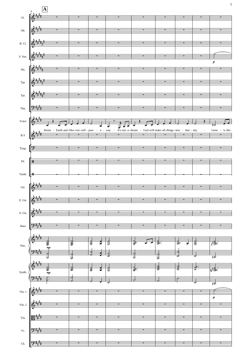